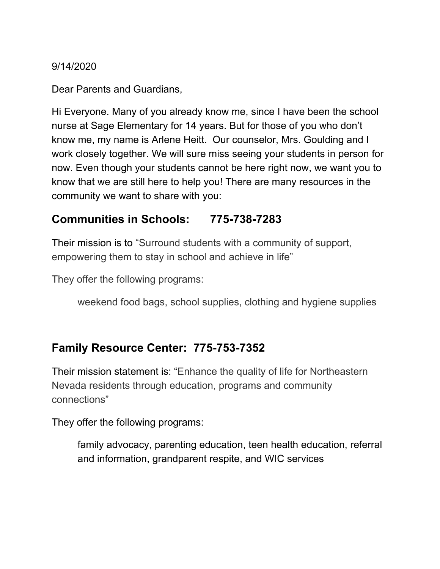9/14/2020

Dear Parents and Guardians,

Hi Everyone. Many of you already know me, since I have been the school nurse at Sage Elementary for 14 years. But for those of you who don't know me, my name is Arlene Heitt. Our counselor, Mrs. Goulding and I work closely together. We will sure miss seeing your students in person for now. Even though your students cannot be here right now, we want you to know that we are still here to help you! There are many resources in the community we want to share with you:

# **Communities in Schools: 775-738-7283**

Their mission is to "Surround students with a community of support, empowering them to stay in school and achieve in life"

They offer the following programs:

weekend food bags, school supplies, clothing and hygiene supplies

# **Family Resource Center: 775-753-7352**

Their mission statement is: "Enhance the quality of life for Northeastern Nevada residents through education, programs and community connections"

They offer the following programs:

family advocacy, parenting education, teen health education, referral and information, grandparent respite, and WIC services